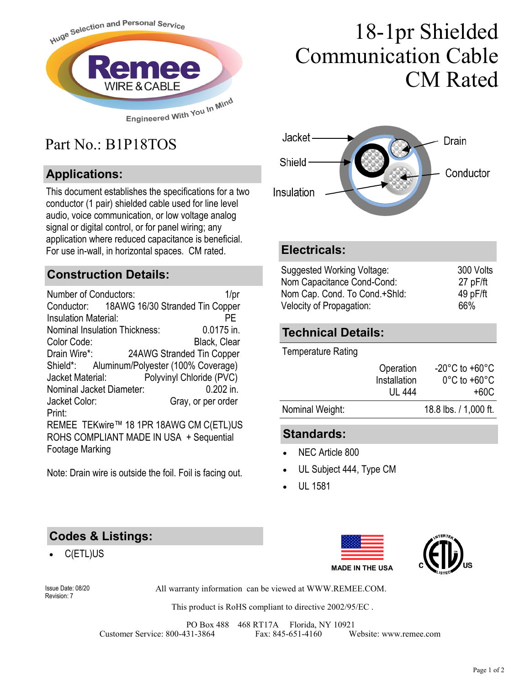

## Part No.: B1P18TOS

#### **Applications:**

This document establishes the specifications for a two conductor (1 pair) shielded cable used for line level audio, voice communication, or low voltage analog signal or digital control, or for panel wiring; any application where reduced capacitance is beneficial. For use in-wall, in horizontal spaces. CM rated. **Electricals:**

#### **Construction Details:**

Number of Conductors: 1/pr Conductor: 18AWG 16/30 Stranded Tin Copper Insulation Material: PE Nominal Insulation Thickness: 0.0175 in. Color Code: Black, Clear Drain Wire\*: 24AWG Stranded Tin Copper Shield\*: Aluminum/Polyester (100% Coverage) Jacket Material: Polyvinyl Chloride (PVC) Nominal Jacket Diameter: 0.202 in. Jacket Color: Gray, or per order Print: REMEE TEKwire™ 18 1PR 18AWG CM C(ETL)US ROHS COMPLIANT MADE IN USA + Sequential Footage Marking

Note: Drain wire is outside the foil. Foil is facing out.

# 18-1pr Shielded Communication Cable CM Rated



| Suggested Working Voltage:    | 300 Volts |
|-------------------------------|-----------|
| Nom Capacitance Cond-Cond:    | 27 pF/ft  |
| Nom Cap. Cond. To Cond.+Shld: | 49pF/ft   |
| Velocity of Propagation:      | 66%       |

### **Technical Details:**

Temperature Rating

|                 | Operation             | $-20^{\circ}$ C to $+60^{\circ}$ C |
|-----------------|-----------------------|------------------------------------|
|                 | Installation          | $0^{\circ}$ C to +60 $^{\circ}$ C  |
|                 | UL 444                | +60C                               |
| Nominal Weight: | 18.8 lbs. / 1,000 ft. |                                    |
|                 |                       |                                    |

#### **Standards:**

- NEC Article 800
- UL Subject 444, Type CM
- UL 1581

#### **Codes & Listings:**

C(ETL)US





Revision: 7

Issue Date: 08/20 All warranty information can be viewed at WWW.REMEE.COM.

This product is RoHS compliant to directive 2002/95/EC .

PO Box 488 468 RT17A Florida, NY 10921 Customer Service: 800-431-3864 Fax: 845-651-4160 Website: www.remee.com